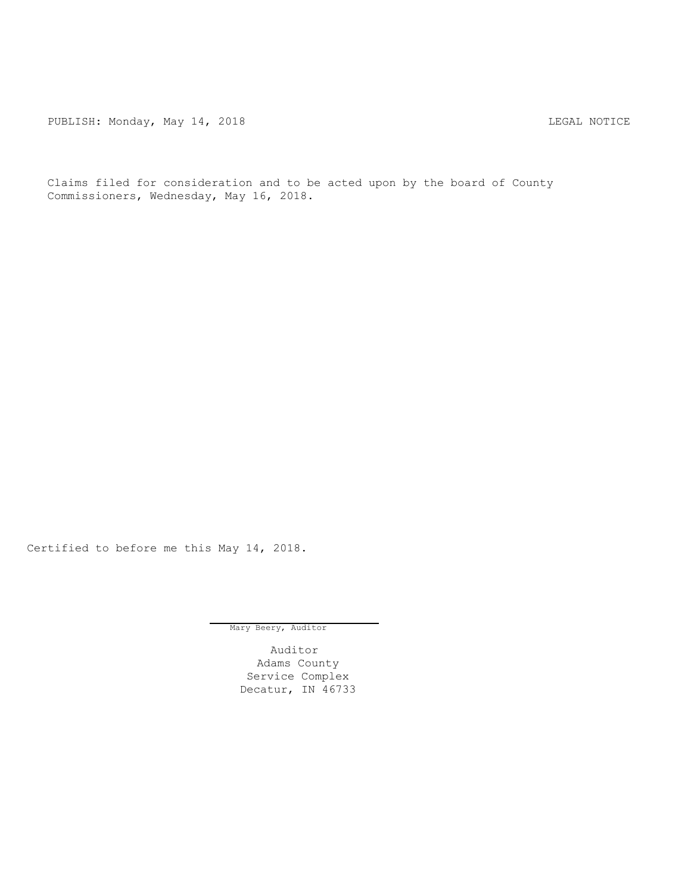PUBLISH: Monday, May 14, 2018 2008 2018

Claims filed for consideration and to be acted upon by the board of County Commissioners, Wednesday, May 16, 2018.

Certified to before me this May 14, 2018.

Mary Beery, Auditor

Auditor Adams County Service Complex Decatur, IN 46733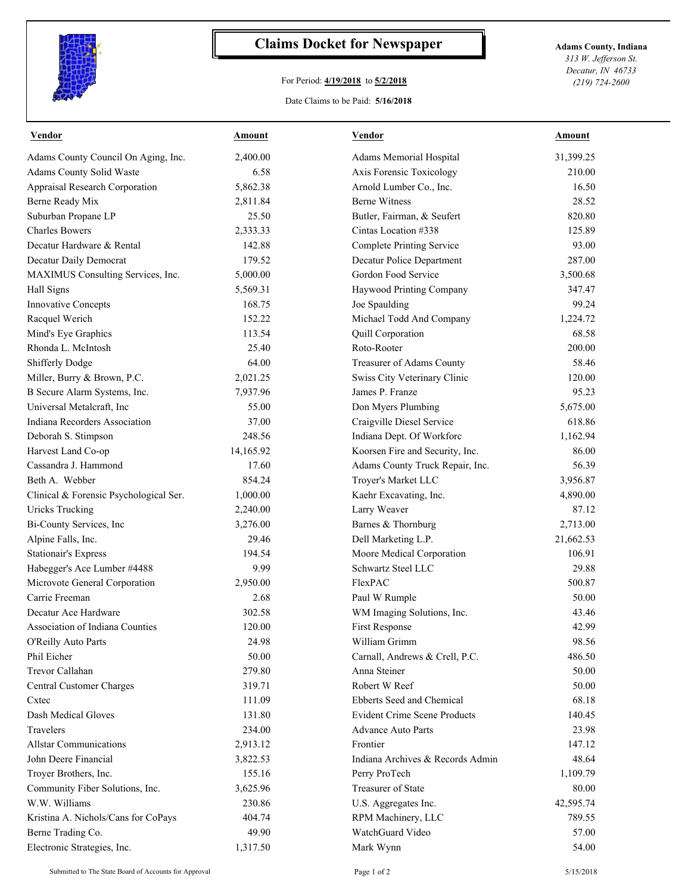

## **Claims Docket for Newspaper Adams County, Indiana**

## For Period: **4/19/2018** to **5/2/2018**

*313 W. Jefferson St. Decatur, IN 46733 (219) 724-2600*

## Date Claims to be Paid: **5/16/2018**

| <u>Vendor</u>                          | <u>Amount</u> | <b>Vendor</b>                       | <u>Amount</u> |
|----------------------------------------|---------------|-------------------------------------|---------------|
| Adams County Council On Aging, Inc.    | 2,400.00      | Adams Memorial Hospital             | 31,399.25     |
| Adams County Solid Waste               | 6.58          | Axis Forensic Toxicology            | 210.00        |
| Appraisal Research Corporation         | 5,862.38      | Arnold Lumber Co., Inc.             | 16.50         |
| Berne Ready Mix                        | 2,811.84      | <b>Berne Witness</b>                | 28.52         |
| Suburban Propane LP                    | 25.50         | Butler, Fairman, & Seufert          | 820.80        |
| <b>Charles Bowers</b>                  | 2,333.33      | Cintas Location #338                | 125.89        |
| Decatur Hardware & Rental              | 142.88        | <b>Complete Printing Service</b>    | 93.00         |
| Decatur Daily Democrat                 | 179.52        | Decatur Police Department           | 287.00        |
| MAXIMUS Consulting Services, Inc.      | 5,000.00      | Gordon Food Service                 | 3,500.68      |
| Hall Signs                             | 5,569.31      | Haywood Printing Company            | 347.47        |
| Innovative Concepts                    | 168.75        | Joe Spaulding                       | 99.24         |
| Racquel Werich                         | 152.22        | Michael Todd And Company            | 1,224.72      |
| Mind's Eye Graphics                    | 113.54        | Quill Corporation                   | 68.58         |
| Rhonda L. McIntosh                     | 25.40         | Roto-Rooter                         | 200.00        |
| Shifferly Dodge                        | 64.00         | Treasurer of Adams County           | 58.46         |
| Miller, Burry & Brown, P.C.            | 2,021.25      | Swiss City Veterinary Clinic        | 120.00        |
| B Secure Alarm Systems, Inc.           | 7,937.96      | James P. Franze                     | 95.23         |
| Universal Metalcraft, Inc              | 55.00         | Don Myers Plumbing                  | 5,675.00      |
| Indiana Recorders Association          | 37.00         | Craigville Diesel Service           | 618.86        |
| Deborah S. Stimpson                    | 248.56        | Indiana Dept. Of Workforc           | 1,162.94      |
| Harvest Land Co-op                     | 14,165.92     | Koorsen Fire and Security, Inc.     | 86.00         |
| Cassandra J. Hammond                   | 17.60         | Adams County Truck Repair, Inc.     | 56.39         |
| Beth A. Webber                         | 854.24        | Troyer's Market LLC                 | 3,956.87      |
| Clinical & Forensic Psychological Ser. | 1,000.00      | Kaehr Excavating, Inc.              | 4,890.00      |
| <b>Uricks Trucking</b>                 | 2,240.00      | Larry Weaver                        | 87.12         |
| Bi-County Services, Inc                | 3,276.00      | Barnes & Thornburg                  | 2,713.00      |
| Alpine Falls, Inc.                     | 29.46         | Dell Marketing L.P.                 | 21,662.53     |
| <b>Stationair's Express</b>            | 194.54        | Moore Medical Corporation           | 106.91        |
| Habegger's Ace Lumber #4488            | 9.99          | Schwartz Steel LLC                  | 29.88         |
| Microvote General Corporation          | 2,950.00      | FlexPAC                             | 500.87        |
| Carrie Freeman                         | 2.68          | Paul W Rumple                       | 50.00         |
| Decatur Ace Hardware                   | 302.58        | WM Imaging Solutions, Inc.          | 43.46         |
| <b>Association of Indiana Counties</b> | 120.00        | First Response                      | 42.99         |
| O'Reilly Auto Parts                    | 24.98         | William Grimm                       | 98.56         |
| Phil Eicher                            | 50.00         | Carnall, Andrews & Crell, P.C.      | 486.50        |
| Trevor Callahan                        | 279.80        | Anna Steiner                        | 50.00         |
| Central Customer Charges               | 319.71        | Robert W Reef                       | 50.00         |
| Cxtec                                  | 111.09        | Ebberts Seed and Chemical           | 68.18         |
| Dash Medical Gloves                    | 131.80        | <b>Evident Crime Scene Products</b> | 140.45        |
| Travelers                              | 234.00        | <b>Advance Auto Parts</b>           | 23.98         |
| <b>Allstar Communications</b>          | 2,913.12      | Frontier                            | 147.12        |
| John Deere Financial                   | 3,822.53      | Indiana Archives & Records Admin    | 48.64         |
| Troyer Brothers, Inc.                  | 155.16        | Perry ProTech                       | 1,109.79      |
| Community Fiber Solutions, Inc.        | 3,625.96      | Treasurer of State                  | 80.00         |
| W.W. Williams                          | 230.86        | U.S. Aggregates Inc.                | 42,595.74     |
|                                        | 404.74        | RPM Machinery, LLC                  | 789.55        |
| Kristina A. Nichols/Cans for CoPays    |               | WatchGuard Video                    |               |
| Berne Trading Co.                      | 49.90         |                                     | 57.00         |
| Electronic Strategies, Inc.            | 1,317.50      | Mark Wynn                           | 54.00         |